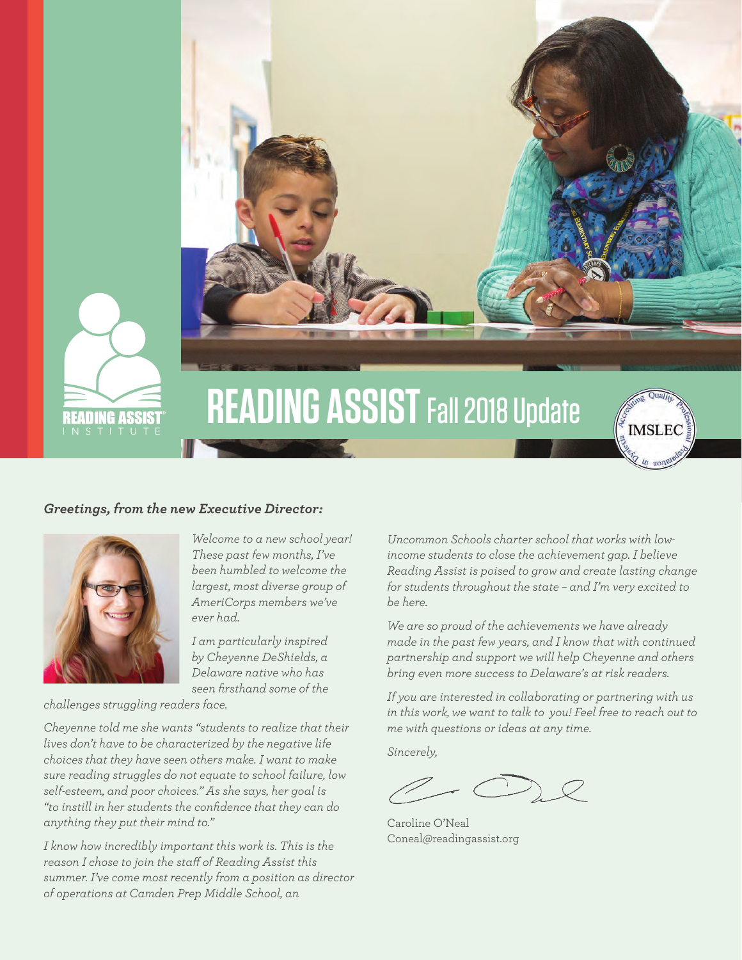

# **READING ASSIST Fall 2018 Update**





*Welcome to a new school year! These past few months, I've been humbled to welcome the largest, most diverse group of AmeriCorps members we've ever had.* 

*I am particularly inspired by Cheyenne DeShields, a Delaware native who has seen firsthand some of the* 

*challenges struggling readers face.* 

*Cheyenne told me she wants "students to realize that their lives don't have to be characterized by the negative life choices that they have seen others make. I want to make sure reading struggles do not equate to school failure, low self-esteem, and poor choices." As she says, her goal is "to instill in her students the confidence that they can do anything they put their mind to."*

*I know how incredibly important this work is. This is the reason I chose to join the staff of Reading Assist this summer. I've come most recently from a position as director of operations at Camden Prep Middle School, an* 

*Uncommon Schools charter school that works with lowincome students to close the achievement gap. I believe Reading Assist is poised to grow and create lasting change for students throughout the state – and I'm very excited to be here.* 

**IMSLEC** 

*We are so proud of the achievements we have already made in the past few years, and I know that with continued partnership and support we will help Cheyenne and others bring even more success to Delaware's at risk readers.* 

*If you are interested in collaborating or partnering with us in this work, we want to talk to you! Feel free to reach out to me with questions or ideas at any time.* 

*Sincerely,* 

Caroline O'Neal Coneal@readingassist.org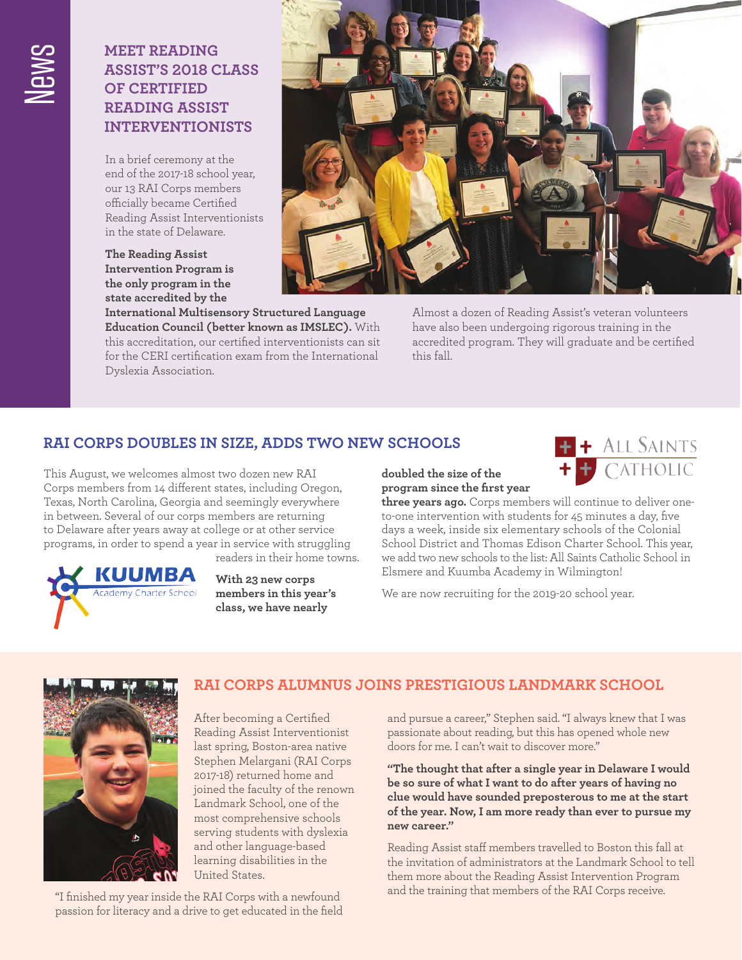### **Meet Reading Assist's 2018 class of Certified Reading Assist Interventionists**

In a brief ceremony at the end of the 2017-18 school year, our 13 RAI Corps members officially became Certified Reading Assist Interventionists in the state of Delaware.

**The Reading Assist Intervention Program is the only program in the state accredited by the** 

**International Multisensory Structured Language Education Council (better known as IMSLEC ).** With this accreditation, our certified interventionists can sit for the CERI certification exam from the International Dyslexia Association.



Almost a dozen of Reading Assist's veteran volunteers have also been undergoing rigorous training in the accredited program. They will graduate and be certified this fall.

## **RAI Corps doubles in size, adds two new schools**

This August, we welcomes almost two dozen new RAI Corps members from 14 different states, including Oregon, Texas, North Carolina, Georgia and seemingly everywhere in between. Several of our corps members are returning to Delaware after years away at college or at other service programs, in order to spend a year in service with struggling readers in their home towns.



**With 23 new corps members in this year's class, we have nearly** 

**doubled the size of the program since the first year** 



**three years ago.** Corps members will continue to deliver oneto-one intervention with students for 45 minutes a day, five days a week, inside six elementary schools of the Colonial School District and Thomas Edison Charter School. This year, we add two new schools to the list: All Saints Catholic School in Elsmere and Kuumba Academy in Wilmington!

We are now recruiting for the 2019-20 school year.



### **RAI Corps Alumnus joins prestigious Landmark School**

After becoming a Certified Reading Assist Interventionist last spring, Boston-area native Stephen Melargani (RAI Corps 2017-18) returned home and joined the faculty of the renown Landmark School, one of the most comprehensive schools serving students with dyslexia and other language-based learning disabilities in the United States.

"I finished my year inside the RAI Corps with a newfound passion for literacy and a drive to get educated in the field and pursue a career," Stephen said. "I always knew that I was passionate about reading, but this has opened whole new doors for me. I can't wait to discover more."

**"The thought that after a single year in Delaware I would be so sure of what I want to do after years of having no clue would have sounded preposterous to me at the start of the year. Now, I am more ready than ever to pursue my new career."**

Reading Assist staff members travelled to Boston this fall at the invitation of administrators at the Landmark School to tell them more about the Reading Assist Intervention Program and the training that members of the RAI Corps receive.